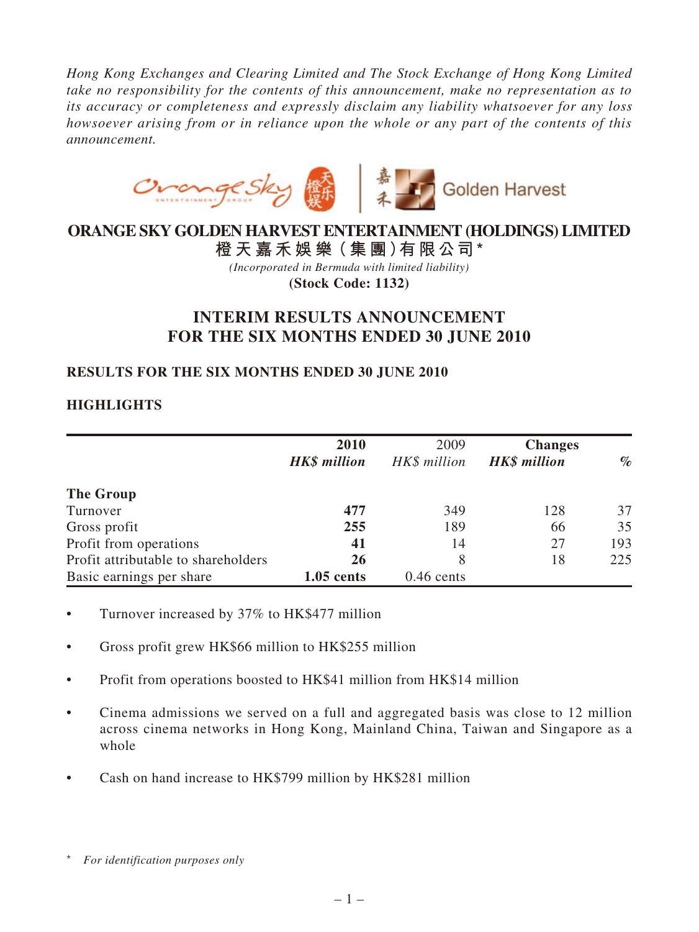*Hong Kong Exchanges and Clearing Limited and The Stock Exchange of Hong Kong Limited take no responsibility for the contents of this announcement, make no representation as to its accuracy or completeness and expressly disclaim any liability whatsoever for any loss howsoever arising from or in reliance upon the whole or any part of the contents of this announcement.*



# **ORANGE SKY GOLDEN HARVEST ENTERTAINMENT (HOLDINGS) LIMITED**

**橙 天 嘉禾娛 樂(集 團)有限公司 \*** *(Incorporated in Bermuda with limited liability)* **(Stock Code: 1132)**

# **INTERIM RESULTS ANNOUNCEMENT FOR THE SIX MONTHS ENDED 30 JUNE 2010**

# **RESULTS FOR THE SIX MONTHS ENDED 30 JUNE 2010**

# **HIGHLIGHTS**

|                                     | 2010                | 2009         | <b>Changes</b>      |      |
|-------------------------------------|---------------------|--------------|---------------------|------|
|                                     | <b>HK\$</b> million | HK\$ million | <b>HK\$</b> million | $\%$ |
| The Group                           |                     |              |                     |      |
| Turnover                            | 477                 | 349          | 128                 | 37   |
| Gross profit                        | 255                 | 189          | 66                  | 35   |
| Profit from operations              | 41                  | 14           | 27                  | 193  |
| Profit attributable to shareholders | <b>26</b>           | 8            | 18                  | 225  |
| Basic earnings per share            | $1.05$ cents        | $0.46$ cents |                     |      |

- Turnover increased by 37% to HK\$477 million
- Gross profit grew HK\$66 million to HK\$255 million
- Profit from operations boosted to HK\$41 million from HK\$14 million
- Cinema admissions we served on a full and aggregated basis was close to 12 million across cinema networks in Hong Kong, Mainland China, Taiwan and Singapore as a whole
- Cash on hand increase to HK\$799 million by HK\$281 million

<sup>\*</sup> *For identification purposes only*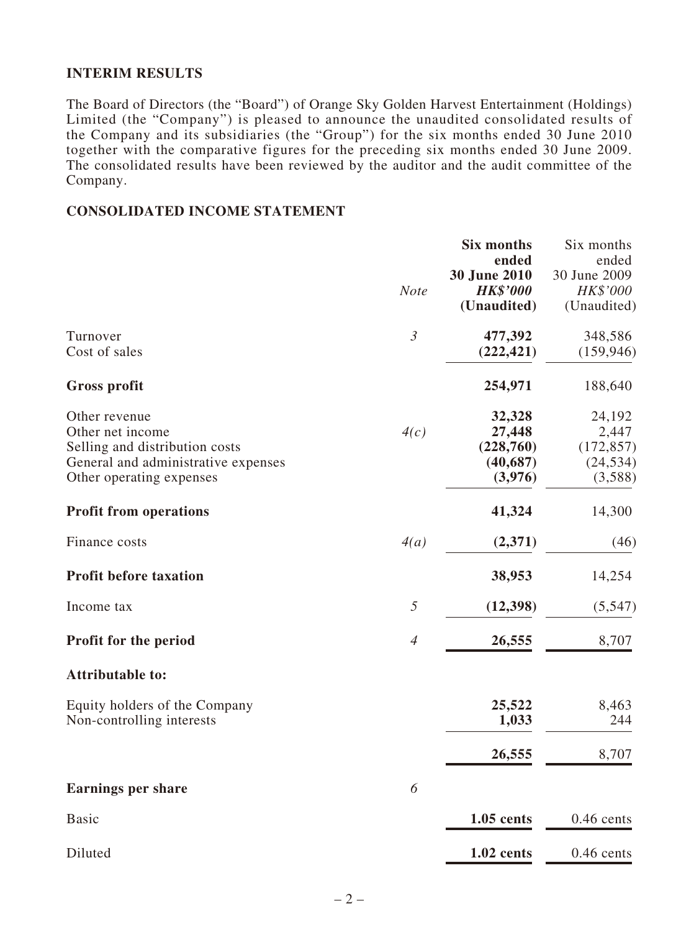# **INTERIM RESULTS**

The Board of Directors (the "Board") of Orange Sky Golden Harvest Entertainment (Holdings) Limited (the "Company") is pleased to announce the unaudited consolidated results of the Company and its subsidiaries (the "Group") for the six months ended 30 June 2010 together with the comparative figures for the preceding six months ended 30 June 2009. The consolidated results have been reviewed by the auditor and the audit committee of the Company.

### **CONSOLIDATED INCOME STATEMENT**

|                                     |                | <b>Six months</b><br>ended      | Six months<br>ended      |
|-------------------------------------|----------------|---------------------------------|--------------------------|
|                                     | <b>Note</b>    | 30 June 2010<br><b>HK\$'000</b> | 30 June 2009<br>HK\$'000 |
|                                     |                | (Unaudited)                     | (Unaudited)              |
| Turnover                            | $\mathfrak{Z}$ | 477,392                         | 348,586                  |
| Cost of sales                       |                | (222, 421)                      | (159, 946)               |
| <b>Gross profit</b>                 |                | 254,971                         | 188,640                  |
| Other revenue                       |                | 32,328                          | 24,192                   |
| Other net income                    | 4(c)           | 27,448                          | 2,447                    |
| Selling and distribution costs      |                | (228,760)                       | (172, 857)               |
| General and administrative expenses |                | (40, 687)                       | (24, 534)                |
| Other operating expenses            |                | (3,976)                         | (3,588)                  |
| <b>Profit from operations</b>       |                | 41,324                          | 14,300                   |
| Finance costs                       | 4(a)           | (2,371)                         | (46)                     |
| <b>Profit before taxation</b>       |                | 38,953                          | 14,254                   |
| Income tax                          | 5              | (12, 398)                       | (5,547)                  |
| <b>Profit for the period</b>        | $\overline{4}$ | 26,555                          | 8,707                    |
| <b>Attributable to:</b>             |                |                                 |                          |
| Equity holders of the Company       |                | 25,522                          | 8,463                    |
| Non-controlling interests           |                | 1,033                           | 244                      |
|                                     |                | 26,555                          | 8,707                    |
| <b>Earnings per share</b>           | 6              |                                 |                          |
| <b>Basic</b>                        |                | 1.05 cents                      | $0.46$ cents             |
|                                     |                |                                 |                          |
| Diluted                             |                | 1.02 cents                      | $0.46$ cents             |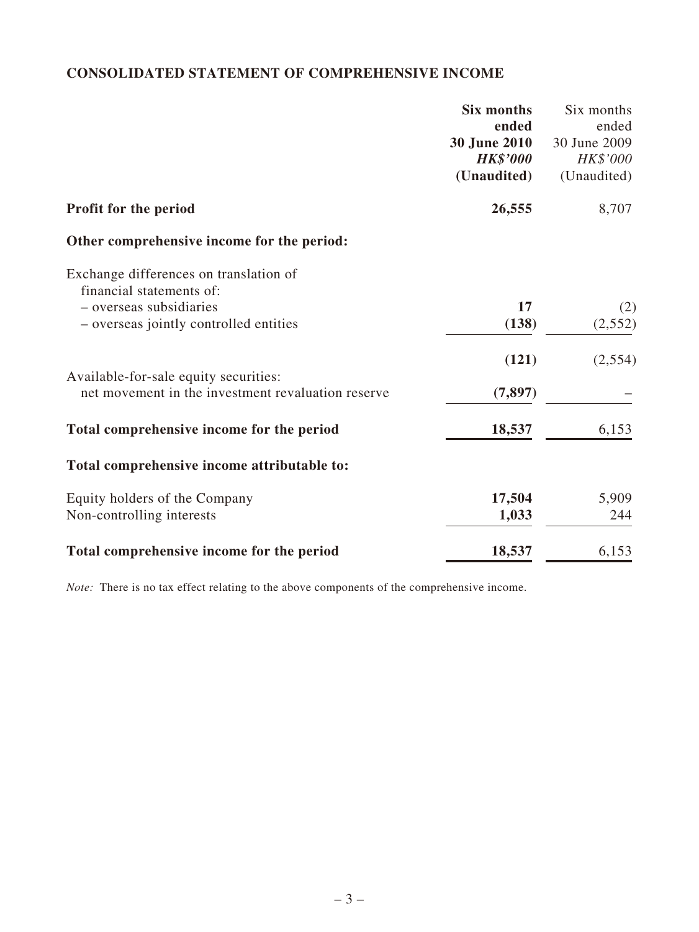# **CONSOLIDATED STATEMENT OF COMPREHENSIVE INCOME**

|                                                                    | <b>Six months</b>   | Six months   |
|--------------------------------------------------------------------|---------------------|--------------|
|                                                                    | ended               | ended        |
|                                                                    | <b>30 June 2010</b> | 30 June 2009 |
|                                                                    | <b>HK\$'000</b>     | HK\$'000     |
|                                                                    | (Unaudited)         | (Unaudited)  |
| Profit for the period                                              | 26,555              | 8,707        |
| Other comprehensive income for the period:                         |                     |              |
| Exchange differences on translation of<br>financial statements of: |                     |              |
| - overseas subsidiaries                                            | 17                  | (2)          |
| - overseas jointly controlled entities                             | (138)               | (2, 552)     |
|                                                                    |                     |              |
|                                                                    | (121)               | (2, 554)     |
| Available-for-sale equity securities:                              |                     |              |
| net movement in the investment revaluation reserve                 | (7, 897)            |              |
|                                                                    |                     |              |
| Total comprehensive income for the period                          | 18,537              | 6,153        |
|                                                                    |                     |              |
| Total comprehensive income attributable to:                        |                     |              |
| Equity holders of the Company                                      | 17,504              | 5,909        |
| Non-controlling interests                                          | 1,033               | 244          |
|                                                                    |                     |              |
| Total comprehensive income for the period                          | 18,537              | 6,153        |
|                                                                    |                     |              |

*Note:* There is no tax effect relating to the above components of the comprehensive income.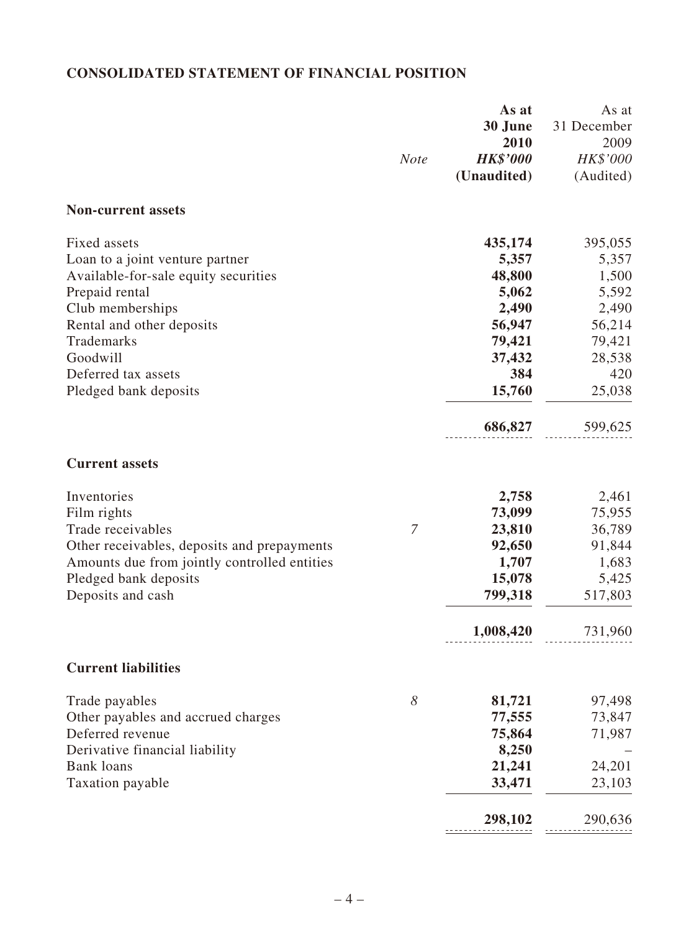# **CONSOLIDATED Statement of Financial Position**

|                                              | <b>Note</b> | As at<br>30 June<br>2010<br><b>HK\$'000</b><br>(Unaudited) | As at<br>31 December<br>2009<br>HK\$'000<br>(Audited) |
|----------------------------------------------|-------------|------------------------------------------------------------|-------------------------------------------------------|
| <b>Non-current assets</b>                    |             |                                                            |                                                       |
| Fixed assets                                 |             | 435,174                                                    | 395,055                                               |
| Loan to a joint venture partner              |             | 5,357                                                      | 5,357                                                 |
| Available-for-sale equity securities         |             | 48,800                                                     | 1,500                                                 |
| Prepaid rental                               |             | 5,062                                                      | 5,592                                                 |
| Club memberships                             |             | 2,490                                                      | 2,490                                                 |
| Rental and other deposits                    |             | 56,947                                                     | 56,214                                                |
| Trademarks                                   |             | 79,421                                                     | 79,421                                                |
| Goodwill                                     |             | 37,432                                                     | 28,538                                                |
| Deferred tax assets                          |             | 384                                                        | 420                                                   |
| Pledged bank deposits                        |             | 15,760                                                     | 25,038                                                |
|                                              |             | 686,827                                                    | 599,625                                               |
| <b>Current assets</b>                        |             |                                                            |                                                       |
| Inventories                                  |             | 2,758                                                      | 2,461                                                 |
| Film rights                                  |             | 73,099                                                     | 75,955                                                |
| Trade receivables                            | 7           | 23,810                                                     | 36,789                                                |
| Other receivables, deposits and prepayments  |             | 92,650                                                     | 91,844                                                |
| Amounts due from jointly controlled entities |             | 1,707                                                      | 1,683                                                 |
| Pledged bank deposits                        |             | 15,078                                                     | 5,425                                                 |
| Deposits and cash                            |             | 799,318                                                    | 517,803                                               |
|                                              |             | 1,008,420                                                  | 731,960                                               |
| <b>Current liabilities</b>                   |             |                                                            |                                                       |
| Trade payables                               | 8           | 81,721                                                     | 97,498                                                |
| Other payables and accrued charges           |             | 77,555                                                     | 73,847                                                |
| Deferred revenue                             |             | 75,864                                                     | 71,987                                                |
| Derivative financial liability               |             | 8,250                                                      |                                                       |
| <b>Bank loans</b>                            |             | 21,241                                                     | 24,201                                                |
| Taxation payable                             |             | 33,471                                                     | 23,103                                                |
|                                              |             | 298,102                                                    | 290,636                                               |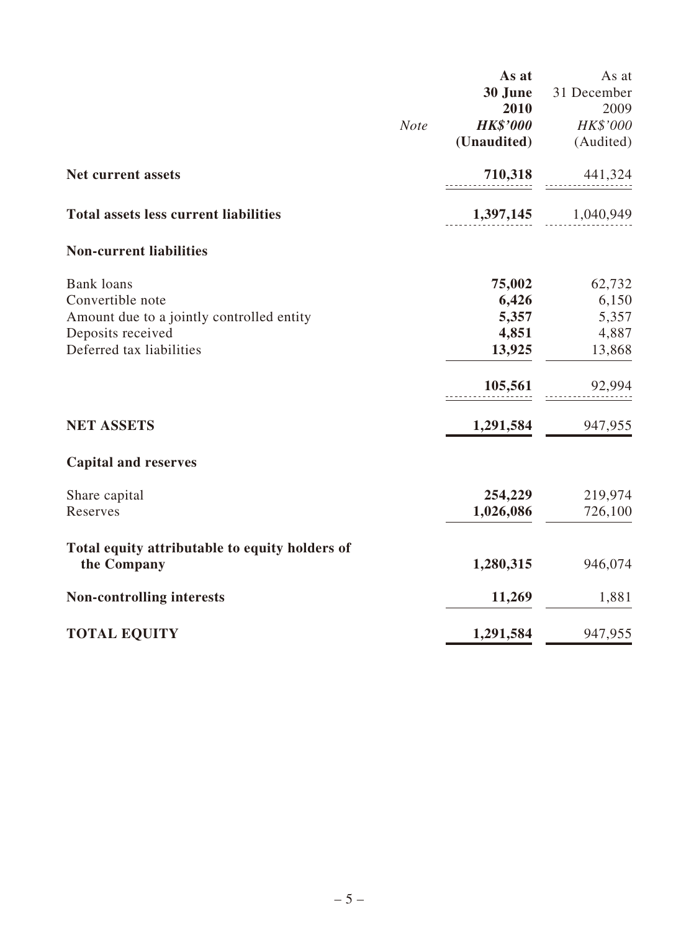|                                                               |             | As at           | As at               |
|---------------------------------------------------------------|-------------|-----------------|---------------------|
|                                                               |             | 30 June         | 31 December         |
|                                                               |             | 2010            | 2009                |
|                                                               | <b>Note</b> | <b>HK\$'000</b> | HK\$'000            |
|                                                               |             | (Unaudited)     | (Audited)           |
| <b>Net current assets</b>                                     |             |                 | 710,318 441,324     |
| <b>Total assets less current liabilities</b>                  |             |                 | 1,397,145 1,040,949 |
| <b>Non-current liabilities</b>                                |             |                 |                     |
| <b>Bank</b> loans                                             |             | 75,002          | 62,732              |
| Convertible note                                              |             | 6,426           | 6,150               |
| Amount due to a jointly controlled entity                     |             | 5,357           | 5,357               |
| Deposits received                                             |             | 4,851           | 4,887               |
| Deferred tax liabilities                                      |             | 13,925          | 13,868              |
|                                                               |             | 105,561         | 92,994              |
| <b>NET ASSETS</b>                                             |             | 1,291,584       | 947,955             |
| <b>Capital and reserves</b>                                   |             |                 |                     |
| Share capital                                                 |             | 254,229         | 219,974             |
| Reserves                                                      |             | 1,026,086       | 726,100             |
| Total equity attributable to equity holders of<br>the Company |             | 1,280,315       | 946,074             |
| <b>Non-controlling interests</b>                              |             | 11,269          | 1,881               |
| <b>TOTAL EQUITY</b>                                           |             | 1,291,584       | 947,955             |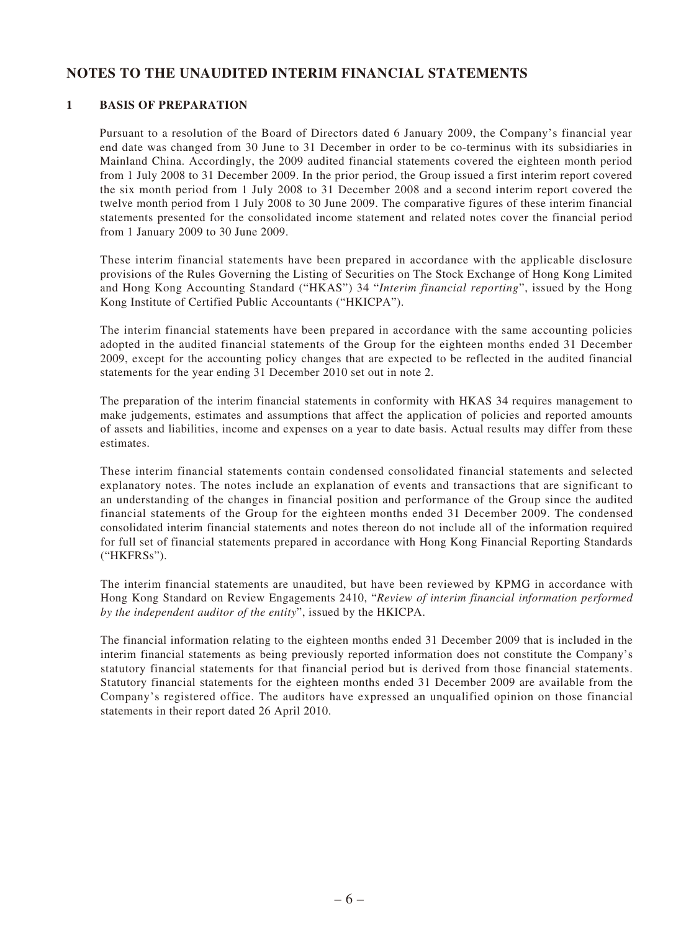# **NOTES TO THE UNAUDITED INTERIM FINANCIAL Statements**

### **1 Basis of preparation**

Pursuant to a resolution of the Board of Directors dated 6 January 2009, the Company's financial year end date was changed from 30 June to 31 December in order to be co-terminus with its subsidiaries in Mainland China. Accordingly, the 2009 audited financial statements covered the eighteen month period from 1 July 2008 to 31 December 2009. In the prior period, the Group issued a first interim report covered the six month period from 1 July 2008 to 31 December 2008 and a second interim report covered the twelve month period from 1 July 2008 to 30 June 2009. The comparative figures of these interim financial statements presented for the consolidated income statement and related notes cover the financial period from 1 January 2009 to 30 June 2009.

These interim financial statements have been prepared in accordance with the applicable disclosure provisions of the Rules Governing the Listing of Securities on The Stock Exchange of Hong Kong Limited and Hong Kong Accounting Standard ("HKAS") 34 "*Interim financial reporting*", issued by the Hong Kong Institute of Certified Public Accountants ("HKICPA").

The interim financial statements have been prepared in accordance with the same accounting policies adopted in the audited financial statements of the Group for the eighteen months ended 31 December 2009, except for the accounting policy changes that are expected to be reflected in the audited financial statements for the year ending 31 December 2010 set out in note 2.

The preparation of the interim financial statements in conformity with HKAS 34 requires management to make judgements, estimates and assumptions that affect the application of policies and reported amounts of assets and liabilities, income and expenses on a year to date basis. Actual results may differ from these estimates.

These interim financial statements contain condensed consolidated financial statements and selected explanatory notes. The notes include an explanation of events and transactions that are significant to an understanding of the changes in financial position and performance of the Group since the audited financial statements of the Group for the eighteen months ended 31 December 2009. The condensed consolidated interim financial statements and notes thereon do not include all of the information required for full set of financial statements prepared in accordance with Hong Kong Financial Reporting Standards ("HKFRSs").

The interim financial statements are unaudited, but have been reviewed by KPMG in accordance with Hong Kong Standard on Review Engagements 2410, "*Review of interim financial information performed by the independent auditor of the entity*", issued by the HKICPA.

The financial information relating to the eighteen months ended 31 December 2009 that is included in the interim financial statements as being previously reported information does not constitute the Company's statutory financial statements for that financial period but is derived from those financial statements. Statutory financial statements for the eighteen months ended 31 December 2009 are available from the Company's registered office. The auditors have expressed an unqualified opinion on those financial statements in their report dated 26 April 2010.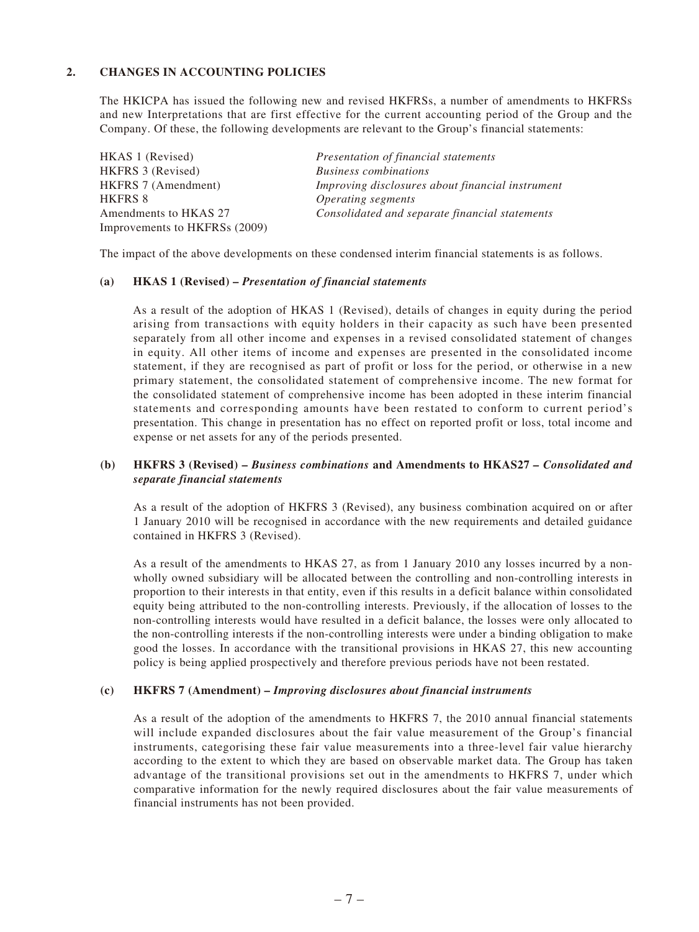### **2. Changes in accounting policies**

The HKICPA has issued the following new and revised HKFRSs, a number of amendments to HKFRSs and new Interpretations that are first effective for the current accounting period of the Group and the Company. Of these, the following developments are relevant to the Group's financial statements:

| HKAS 1 (Revised)              | Presentation of financial statements             |
|-------------------------------|--------------------------------------------------|
| HKFRS 3 (Revised)             | <b>Business combinations</b>                     |
| <b>HKFRS</b> 7 (Amendment)    | Improving disclosures about financial instrument |
| <b>HKFRS 8</b>                | Operating segments                               |
| Amendments to HKAS 27         | Consolidated and separate financial statements   |
| Improvements to HKFRSs (2009) |                                                  |

The impact of the above developments on these condensed interim financial statements is as follows.

#### **(a) HKAS 1 (Revised) –** *Presentation of financial statements*

As a result of the adoption of HKAS 1 (Revised), details of changes in equity during the period arising from transactions with equity holders in their capacity as such have been presented separately from all other income and expenses in a revised consolidated statement of changes in equity. All other items of income and expenses are presented in the consolidated income statement, if they are recognised as part of profit or loss for the period, or otherwise in a new primary statement, the consolidated statement of comprehensive income. The new format for the consolidated statement of comprehensive income has been adopted in these interim financial statements and corresponding amounts have been restated to conform to current period's presentation. This change in presentation has no effect on reported profit or loss, total income and expense or net assets for any of the periods presented.

### **(b) HKFRS 3 (Revised) –** *Business combinations* **and Amendments to HKAS27** *– Consolidated and separate financial statements*

As a result of the adoption of HKFRS 3 (Revised), any business combination acquired on or after 1 January 2010 will be recognised in accordance with the new requirements and detailed guidance contained in HKFRS 3 (Revised).

As a result of the amendments to HKAS 27, as from 1 January 2010 any losses incurred by a nonwholly owned subsidiary will be allocated between the controlling and non-controlling interests in proportion to their interests in that entity, even if this results in a deficit balance within consolidated equity being attributed to the non-controlling interests. Previously, if the allocation of losses to the non-controlling interests would have resulted in a deficit balance, the losses were only allocated to the non-controlling interests if the non-controlling interests were under a binding obligation to make good the losses. In accordance with the transitional provisions in HKAS 27, this new accounting policy is being applied prospectively and therefore previous periods have not been restated.

### **(c) HKFRS 7 (Amendment) –** *Improving disclosures about financial instruments*

As a result of the adoption of the amendments to HKFRS 7, the 2010 annual financial statements will include expanded disclosures about the fair value measurement of the Group's financial instruments, categorising these fair value measurements into a three-level fair value hierarchy according to the extent to which they are based on observable market data. The Group has taken advantage of the transitional provisions set out in the amendments to HKFRS 7, under which comparative information for the newly required disclosures about the fair value measurements of financial instruments has not been provided.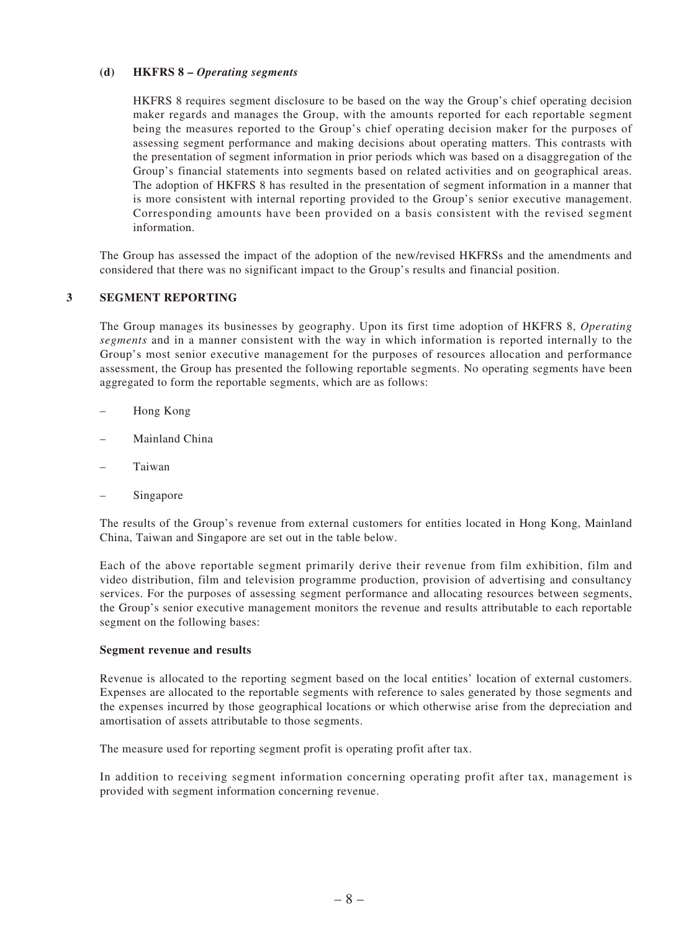#### **(d) HKFRS 8 –** *Operating segments*

HKFRS 8 requires segment disclosure to be based on the way the Group's chief operating decision maker regards and manages the Group, with the amounts reported for each reportable segment being the measures reported to the Group's chief operating decision maker for the purposes of assessing segment performance and making decisions about operating matters. This contrasts with the presentation of segment information in prior periods which was based on a disaggregation of the Group's financial statements into segments based on related activities and on geographical areas. The adoption of HKFRS 8 has resulted in the presentation of segment information in a manner that is more consistent with internal reporting provided to the Group's senior executive management. Corresponding amounts have been provided on a basis consistent with the revised segment information.

The Group has assessed the impact of the adoption of the new/revised HKFRSs and the amendments and considered that there was no significant impact to the Group's results and financial position.

### **3 Segment reporting**

The Group manages its businesses by geography. Upon its first time adoption of HKFRS 8, *Operating segments* and in a manner consistent with the way in which information is reported internally to the Group's most senior executive management for the purposes of resources allocation and performance assessment, the Group has presented the following reportable segments. No operating segments have been aggregated to form the reportable segments, which are as follows:

- Hong Kong
- Mainland China
- – Taiwan
- Singapore

The results of the Group's revenue from external customers for entities located in Hong Kong, Mainland China, Taiwan and Singapore are set out in the table below.

Each of the above reportable segment primarily derive their revenue from film exhibition, film and video distribution, film and television programme production, provision of advertising and consultancy services. For the purposes of assessing segment performance and allocating resources between segments, the Group's senior executive management monitors the revenue and results attributable to each reportable segment on the following bases:

#### **Segment revenue and results**

Revenue is allocated to the reporting segment based on the local entities' location of external customers. Expenses are allocated to the reportable segments with reference to sales generated by those segments and the expenses incurred by those geographical locations or which otherwise arise from the depreciation and amortisation of assets attributable to those segments.

The measure used for reporting segment profit is operating profit after tax.

In addition to receiving segment information concerning operating profit after tax, management is provided with segment information concerning revenue.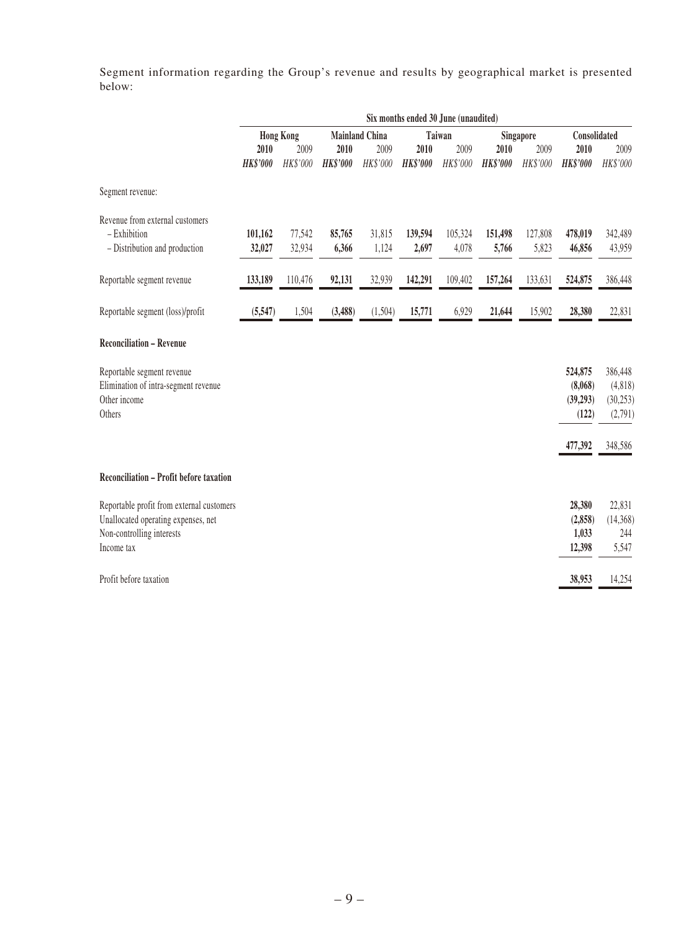Segment information regarding the Group's revenue and results by geographical market is presented below:

|                                           | Six months ended 30 June (unaudited) |          |                                 |          |                 |           |                 |              |                 |          |
|-------------------------------------------|--------------------------------------|----------|---------------------------------|----------|-----------------|-----------|-----------------|--------------|-----------------|----------|
|                                           | <b>Hong Kong</b>                     |          | <b>Mainland China</b><br>Taiwan |          |                 | Singapore |                 | Consolidated |                 |          |
|                                           | 2010                                 | 2009     | 2010                            | 2009     | 2010            | 2009      | 2010            | 2009         | 2010            | 2009     |
|                                           | <b>HK\$'000</b>                      | HK\$'000 | <b>HK\$'000</b>                 | HK\$'000 | <b>HK\$'000</b> | HK\$'000  | <b>HK\$'000</b> | HK\$'000     | <b>HK\$'000</b> | HK\$'000 |
| Segment revenue:                          |                                      |          |                                 |          |                 |           |                 |              |                 |          |
| Revenue from external customers           |                                      |          |                                 |          |                 |           |                 |              |                 |          |
| - Exhibition                              | 101,162                              | 77,542   | 85,765                          | 31,815   | 139,594         | 105,324   | 151,498         | 127,808      | 478,019         | 342,489  |
| - Distribution and production             | 32,027                               | 32,934   | 6,366                           | 1,124    | 2,697           | 4,078     | 5,766           | 5,823        | 46,856          | 43,959   |
| Reportable segment revenue                | 133,189                              | 110,476  | 92,131                          | 32,939   | 142,291         | 109,402   | 157,264         | 133,631      | 524,875         | 386,448  |
| Reportable segment (loss)/profit          | (5, 547)                             | 1,504    | (3,488)                         | (1,504)  | 15,771          | 6,929     | 21,644          | 15,902       | 28,380          | 22,831   |
| <b>Reconciliation - Revenue</b>           |                                      |          |                                 |          |                 |           |                 |              |                 |          |
| Reportable segment revenue                |                                      |          |                                 |          |                 |           |                 |              | 524,875         | 386,448  |
| Elimination of intra-segment revenue      |                                      |          |                                 |          |                 |           |                 |              | (8,068)         | (4,818)  |
| Other income                              |                                      |          |                                 |          |                 |           |                 |              | (39,293)        | (30,253) |
| Others                                    |                                      |          |                                 |          |                 |           |                 |              | (122)           | (2,791)  |
|                                           |                                      |          |                                 |          |                 |           |                 |              | 477,392         | 348,586  |
| Reconciliation - Profit before taxation   |                                      |          |                                 |          |                 |           |                 |              |                 |          |
| Reportable profit from external customers |                                      |          |                                 |          |                 |           |                 |              | 28,380          | 22,831   |
| Unallocated operating expenses, net       |                                      |          |                                 |          |                 |           |                 |              | (2, 858)        | (14,368) |
| Non-controlling interests                 |                                      |          |                                 |          |                 |           |                 |              | 1,033           | 244      |
| Income tax                                |                                      |          |                                 |          |                 |           |                 |              | 12,398          | 5,547    |
| Profit before taxation                    |                                      |          |                                 |          |                 |           |                 |              | 38,953          | 14,254   |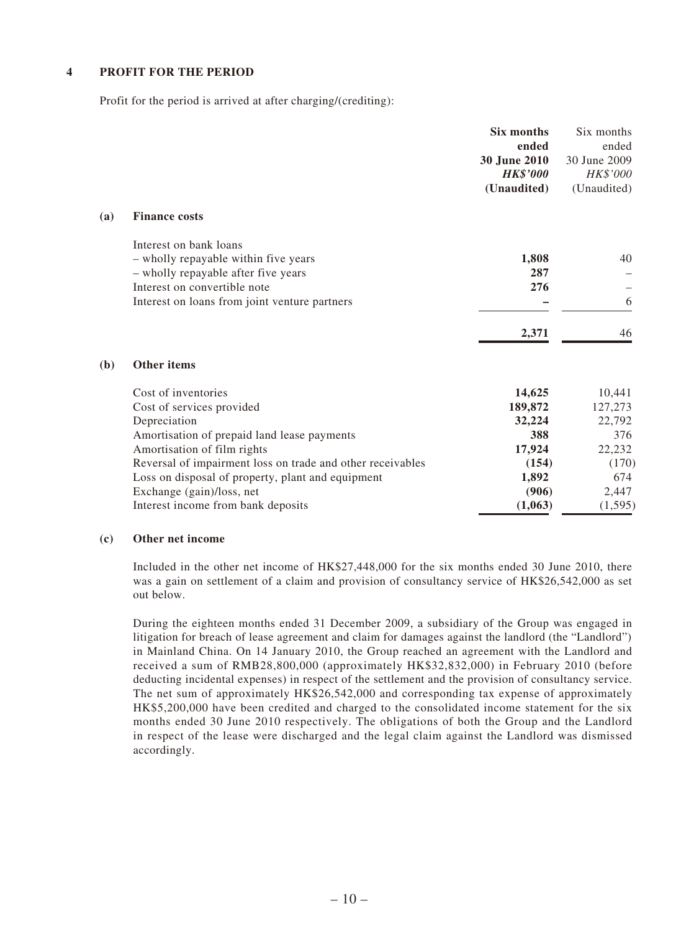### **4 Profit for the period**

Profit for the period is arrived at after charging/(crediting):

|     |                                                                | Six months<br>ended<br>30 June 2010<br><b>HK\$'000</b><br>(Unaudited) | Six months<br>ended<br>30 June 2009<br>HK\$'000<br>(Unaudited) |
|-----|----------------------------------------------------------------|-----------------------------------------------------------------------|----------------------------------------------------------------|
| (a) | <b>Finance costs</b>                                           |                                                                       |                                                                |
|     | Interest on bank loans<br>- wholly repayable within five years | 1,808                                                                 | 40                                                             |
|     | - wholly repayable after five years                            | 287                                                                   |                                                                |
|     | Interest on convertible note                                   | 276                                                                   |                                                                |
|     | Interest on loans from joint venture partners                  |                                                                       | 6                                                              |
|     |                                                                | 2,371                                                                 | 46                                                             |
| (b) | Other items                                                    |                                                                       |                                                                |
|     | Cost of inventories                                            | 14,625                                                                | 10,441                                                         |
|     | Cost of services provided                                      | 189,872                                                               | 127,273                                                        |
|     | Depreciation                                                   | 32,224                                                                | 22,792                                                         |
|     | Amortisation of prepaid land lease payments                    | 388                                                                   | 376                                                            |
|     | Amortisation of film rights                                    | 17,924                                                                | 22,232                                                         |
|     | Reversal of impairment loss on trade and other receivables     | (154)                                                                 | (170)                                                          |
|     | Loss on disposal of property, plant and equipment              | 1,892                                                                 | 674                                                            |
|     | Exchange (gain)/loss, net                                      | (906)                                                                 | 2,447                                                          |
|     | Interest income from bank deposits                             | (1,063)                                                               | (1, 595)                                                       |

### **(c) Other net income**

Included in the other net income of HK\$27,448,000 for the six months ended 30 June 2010, there was a gain on settlement of a claim and provision of consultancy service of HK\$26,542,000 as set out below.

During the eighteen months ended 31 December 2009, a subsidiary of the Group was engaged in litigation for breach of lease agreement and claim for damages against the landlord (the "Landlord") in Mainland China. On 14 January 2010, the Group reached an agreement with the Landlord and received a sum of RMB28,800,000 (approximately HK\$32,832,000) in February 2010 (before deducting incidental expenses) in respect of the settlement and the provision of consultancy service. The net sum of approximately HK\$26,542,000 and corresponding tax expense of approximately HK\$5,200,000 have been credited and charged to the consolidated income statement for the six months ended 30 June 2010 respectively. The obligations of both the Group and the Landlord in respect of the lease were discharged and the legal claim against the Landlord was dismissed accordingly.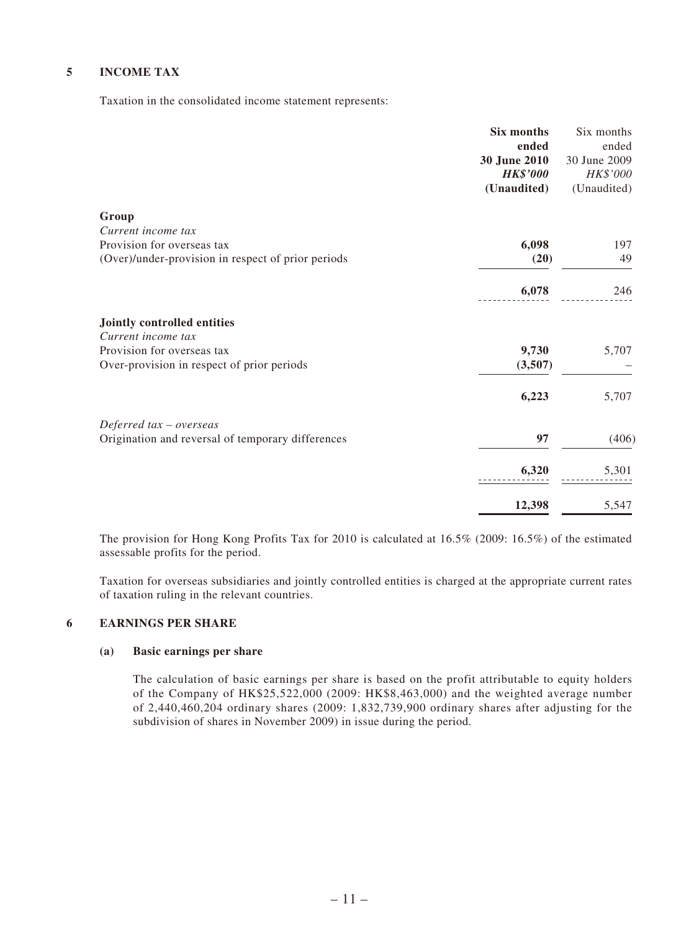### **5 Income tax**

Taxation in the consolidated income statement represents:

|                                                    | Six months<br>ended<br>30 June 2010<br><b>HK\$'000</b><br>(Unaudited) | Six months<br>ended<br>30 June 2009<br>HK\$'000<br>(Unaudited) |
|----------------------------------------------------|-----------------------------------------------------------------------|----------------------------------------------------------------|
| Group                                              |                                                                       |                                                                |
| Current income tax                                 |                                                                       |                                                                |
| Provision for overseas tax                         | 6,098                                                                 | 197                                                            |
| (Over)/under-provision in respect of prior periods | (20)                                                                  | 49                                                             |
|                                                    | 6,078                                                                 | 246                                                            |
| Jointly controlled entities                        |                                                                       |                                                                |
| Current income tax                                 |                                                                       |                                                                |
| Provision for overseas tax                         | 9,730                                                                 | 5,707                                                          |
| Over-provision in respect of prior periods         | (3,507)                                                               |                                                                |
|                                                    | 6,223                                                                 | 5,707                                                          |
| Deferred tax - overseas                            |                                                                       |                                                                |
| Origination and reversal of temporary differences  | 97                                                                    | (406)                                                          |
|                                                    | 6,320                                                                 | 5,301                                                          |
|                                                    | 12,398                                                                | 5,547                                                          |

The provision for Hong Kong Profits Tax for 2010 is calculated at 16.5% (2009: 16.5%) of the estimated assessable profits for the period.

Taxation for overseas subsidiaries and jointly controlled entities is charged at the appropriate current rates of taxation ruling in the relevant countries.

### **6 Earnings per share**

### **(a) Basic earnings per share**

The calculation of basic earnings per share is based on the profit attributable to equity holders of the Company of HK\$25,522,000 (2009: HK\$8,463,000) and the weighted average number of 2,440,460,204 ordinary shares (2009: 1,832,739,900 ordinary shares after adjusting for the subdivision of shares in November 2009) in issue during the period.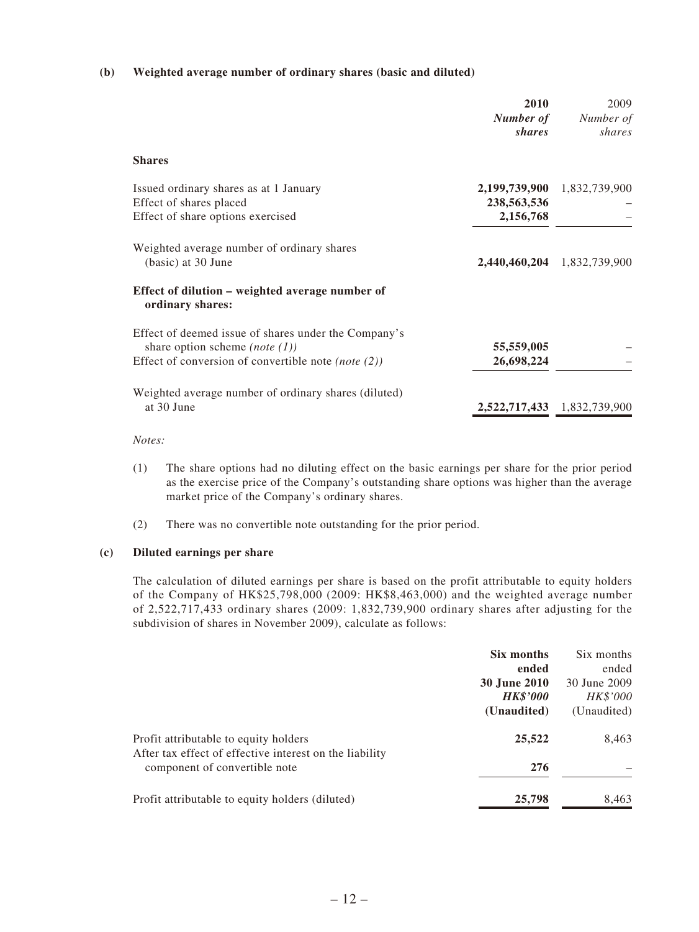### **(b) Weighted average number of ordinary shares (basic and diluted)**

|                                                                                                                                                                     | 2010<br>Number of<br>shares               | 2009<br>Number of<br>shares |
|---------------------------------------------------------------------------------------------------------------------------------------------------------------------|-------------------------------------------|-----------------------------|
| <b>Shares</b>                                                                                                                                                       |                                           |                             |
| Issued ordinary shares as at 1 January<br>Effect of shares placed<br>Effect of share options exercised                                                              | 2,199,739,900<br>238,563,536<br>2,156,768 | 1,832,739,900               |
| Weighted average number of ordinary shares<br>(basic) at 30 June                                                                                                    |                                           | 2,440,460,204 1,832,739,900 |
| Effect of dilution – weighted average number of<br>ordinary shares:                                                                                                 |                                           |                             |
| Effect of deemed issue of shares under the Company's<br>share option scheme ( <i>note</i> $(1)$ )<br>Effect of conversion of convertible note ( <i>note</i> $(2)$ ) | 55,559,005<br>26,698,224                  |                             |
| Weighted average number of ordinary shares (diluted)<br>at 30 June                                                                                                  |                                           | 2,522,717,433 1,832,739,900 |

#### *Notes:*

- (1) The share options had no diluting effect on the basic earnings per share for the prior period as the exercise price of the Company's outstanding share options was higher than the average market price of the Company's ordinary shares.
- (2) There was no convertible note outstanding for the prior period.

#### **(c) Diluted earnings per share**

The calculation of diluted earnings per share is based on the profit attributable to equity holders of the Company of HK\$25,798,000 (2009: HK\$8,463,000) and the weighted average number of 2,522,717,433 ordinary shares (2009: 1,832,739,900 ordinary shares after adjusting for the subdivision of shares in November 2009), calculate as follows:

|                                                         | Six months          | Six months   |
|---------------------------------------------------------|---------------------|--------------|
|                                                         | ended               | ended        |
|                                                         | <b>30 June 2010</b> | 30 June 2009 |
|                                                         | <b>HK\$'000</b>     | HK\$'000     |
|                                                         | (Unaudited)         | (Unaudited)  |
| Profit attributable to equity holders                   | 25,522              | 8,463        |
| After tax effect of effective interest on the liability |                     |              |
| component of convertible note                           | 276                 |              |
| Profit attributable to equity holders (diluted)         | 25,798              | 8,463        |
|                                                         |                     |              |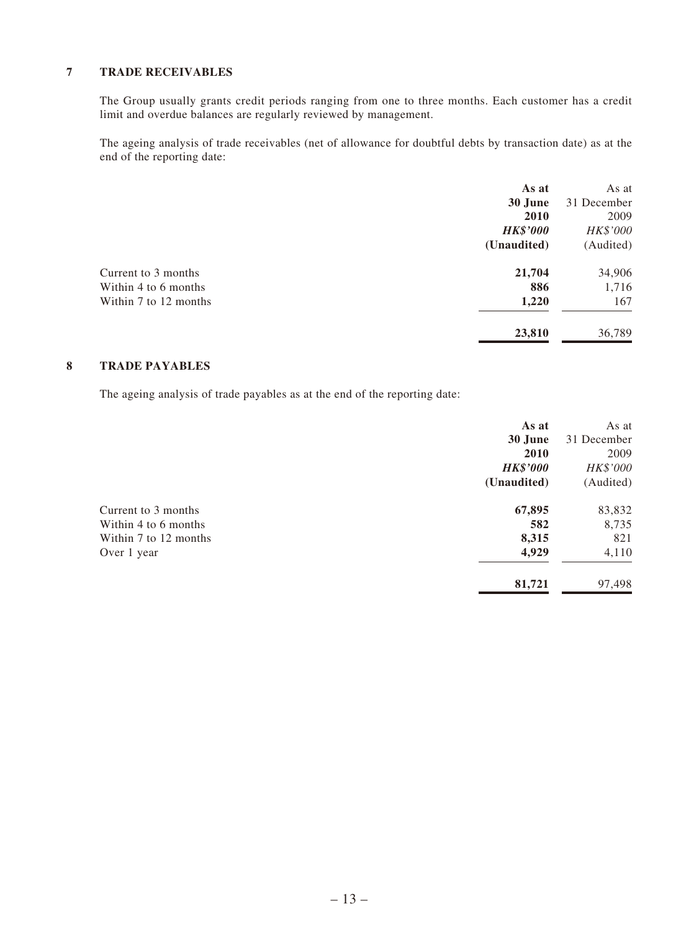### **7 Trade receivables**

The Group usually grants credit periods ranging from one to three months. Each customer has a credit limit and overdue balances are regularly reviewed by management.

The ageing analysis of trade receivables (net of allowance for doubtful debts by transaction date) as at the end of the reporting date:

|                       | As at           | As at       |
|-----------------------|-----------------|-------------|
|                       | 30 June         | 31 December |
|                       | 2010            | 2009        |
|                       | <b>HK\$'000</b> | HK\$'000    |
|                       | (Unaudited)     | (Audited)   |
| Current to 3 months   | 21,704          | 34,906      |
| Within 4 to 6 months  | 886             | 1,716       |
| Within 7 to 12 months | 1,220           | 167         |
|                       | 23,810          | 36,789      |

### **8 Trade payables**

The ageing analysis of trade payables as at the end of the reporting date:

|                       | As at           | As at       |
|-----------------------|-----------------|-------------|
|                       | 30 June         | 31 December |
|                       | 2010            | 2009        |
|                       | <b>HK\$'000</b> | HK\$'000    |
|                       | (Unaudited)     | (Audited)   |
| Current to 3 months   | 67,895          | 83,832      |
| Within 4 to 6 months  | 582             | 8,735       |
| Within 7 to 12 months | 8,315           | 821         |
| Over 1 year           | 4,929           | 4,110       |
|                       | 81,721          | 97,498      |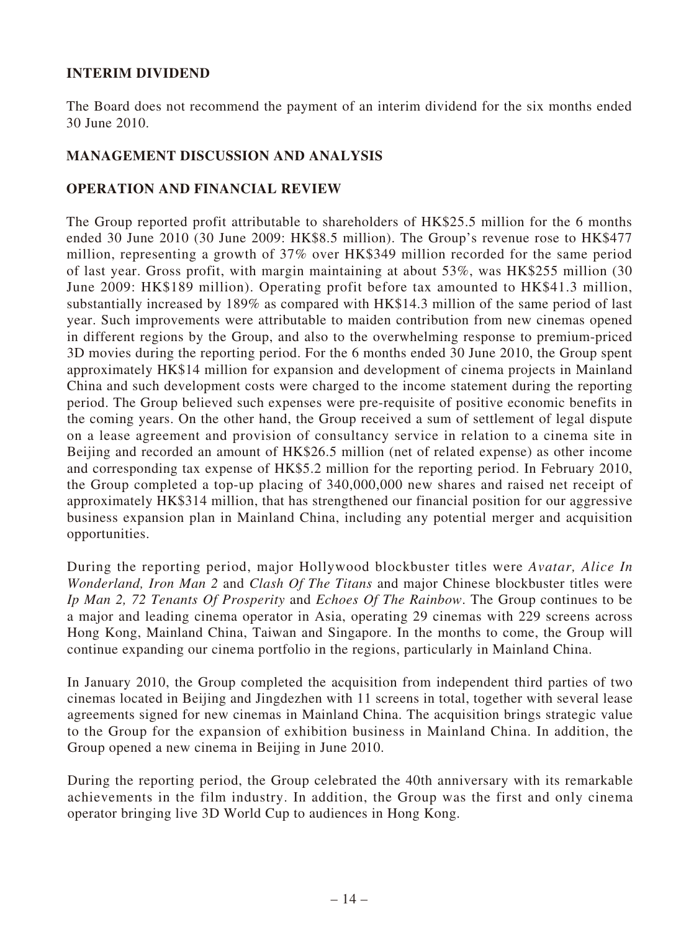# **INTERIM DIVIDEND**

The Board does not recommend the payment of an interim dividend for the six months ended 30 June 2010.

# **MANAGEMENT DISCUSSION AND ANALYSIS**

# **OPERATION AND FINANCIAL REVIEW**

The Group reported profit attributable to shareholders of HK\$25.5 million for the 6 months ended 30 June 2010 (30 June 2009: HK\$8.5 million). The Group's revenue rose to HK\$477 million, representing a growth of 37% over HK\$349 million recorded for the same period of last year. Gross profit, with margin maintaining at about 53%, was HK\$255 million (30 June 2009: HK\$189 million). Operating profit before tax amounted to HK\$41.3 million, substantially increased by 189% as compared with HK\$14.3 million of the same period of last year. Such improvements were attributable to maiden contribution from new cinemas opened in different regions by the Group, and also to the overwhelming response to premium-priced 3D movies during the reporting period. For the 6 months ended 30 June 2010, the Group spent approximately HK\$14 million for expansion and development of cinema projects in Mainland China and such development costs were charged to the income statement during the reporting period. The Group believed such expenses were pre-requisite of positive economic benefits in the coming years. On the other hand, the Group received a sum of settlement of legal dispute on a lease agreement and provision of consultancy service in relation to a cinema site in Beijing and recorded an amount of HK\$26.5 million (net of related expense) as other income and corresponding tax expense of HK\$5.2 million for the reporting period. In February 2010, the Group completed a top-up placing of 340,000,000 new shares and raised net receipt of approximately HK\$314 million, that has strengthened our financial position for our aggressive business expansion plan in Mainland China, including any potential merger and acquisition opportunities.

During the reporting period, major Hollywood blockbuster titles were *Avatar, Alice In Wonderland, Iron Man 2* and *Clash Of The Titans* and major Chinese blockbuster titles were *Ip Man 2, 72 Tenants Of Prosperity* and *Echoes Of The Rainbow*. The Group continues to be a major and leading cinema operator in Asia, operating 29 cinemas with 229 screens across Hong Kong, Mainland China, Taiwan and Singapore. In the months to come, the Group will continue expanding our cinema portfolio in the regions, particularly in Mainland China.

In January 2010, the Group completed the acquisition from independent third parties of two cinemas located in Beijing and Jingdezhen with 11 screens in total, together with several lease agreements signed for new cinemas in Mainland China. The acquisition brings strategic value to the Group for the expansion of exhibition business in Mainland China. In addition, the Group opened a new cinema in Beijing in June 2010.

During the reporting period, the Group celebrated the 40th anniversary with its remarkable achievements in the film industry. In addition, the Group was the first and only cinema operator bringing live 3D World Cup to audiences in Hong Kong.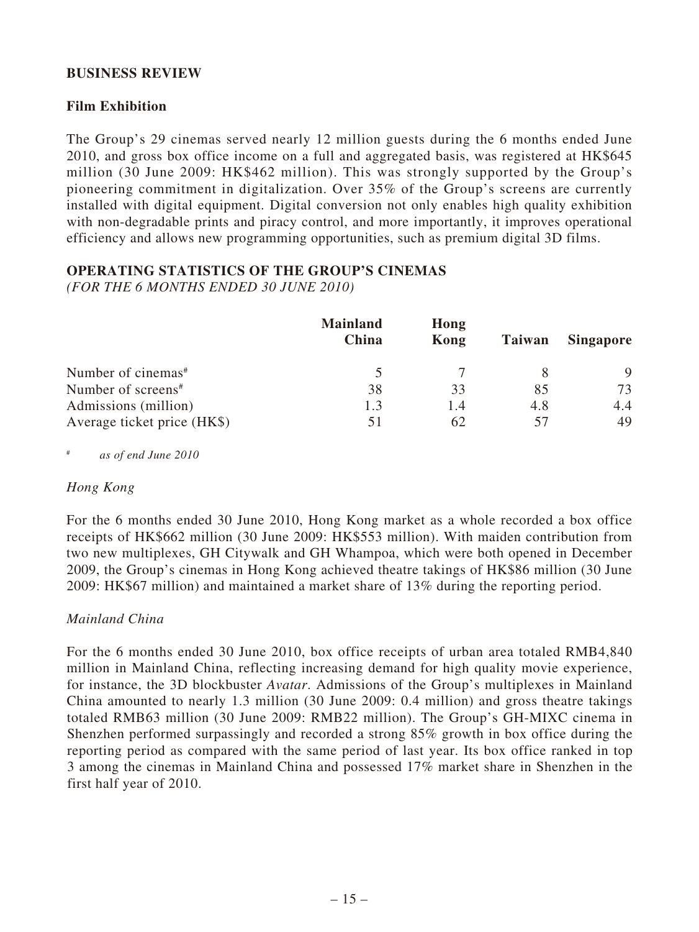# **BUSINESS REVIEW**

# **Film Exhibition**

The Group's 29 cinemas served nearly 12 million guests during the 6 months ended June 2010, and gross box office income on a full and aggregated basis, was registered at HK\$645 million (30 June 2009: HK\$462 million). This was strongly supported by the Group's pioneering commitment in digitalization. Over 35% of the Group's screens are currently installed with digital equipment. Digital conversion not only enables high quality exhibition with non-degradable prints and piracy control, and more importantly, it improves operational efficiency and allows new programming opportunities, such as premium digital 3D films.

# **OPERATING STATISTICS OF THE GROUP'S CINEMAS**

*(FOR THE 6 MONTHS ENDED 30 JUNE 2010)*

|                                | <b>Mainland</b><br>China | Hong<br>Kong | Taiwan | <b>Singapore</b> |
|--------------------------------|--------------------------|--------------|--------|------------------|
| Number of cinemas <sup>#</sup> |                          |              |        |                  |
| Number of screens <sup>#</sup> | 38                       | 33           | 85     | 73               |
| Admissions (million)           | 1.3                      | 1.4          | 4.8    | 4.4              |
| Average ticket price (HK\$)    | 51                       | 62           | 57     | 49               |

as of end June 2010

### *Hong Kong*

For the 6 months ended 30 June 2010, Hong Kong market as a whole recorded a box office receipts of HK\$662 million (30 June 2009: HK\$553 million). With maiden contribution from two new multiplexes, GH Citywalk and GH Whampoa, which were both opened in December 2009, the Group's cinemas in Hong Kong achieved theatre takings of HK\$86 million (30 June 2009: HK\$67 million) and maintained a market share of 13% during the reporting period.

# *Mainland China*

For the 6 months ended 30 June 2010, box office receipts of urban area totaled RMB4,840 million in Mainland China, reflecting increasing demand for high quality movie experience, for instance, the 3D blockbuster *Avatar*. Admissions of the Group's multiplexes in Mainland China amounted to nearly 1.3 million (30 June 2009: 0.4 million) and gross theatre takings totaled RMB63 million (30 June 2009: RMB22 million). The Group's GH-MIXC cinema in Shenzhen performed surpassingly and recorded a strong 85% growth in box office during the reporting period as compared with the same period of last year. Its box office ranked in top 3 among the cinemas in Mainland China and possessed 17% market share in Shenzhen in the first half year of 2010.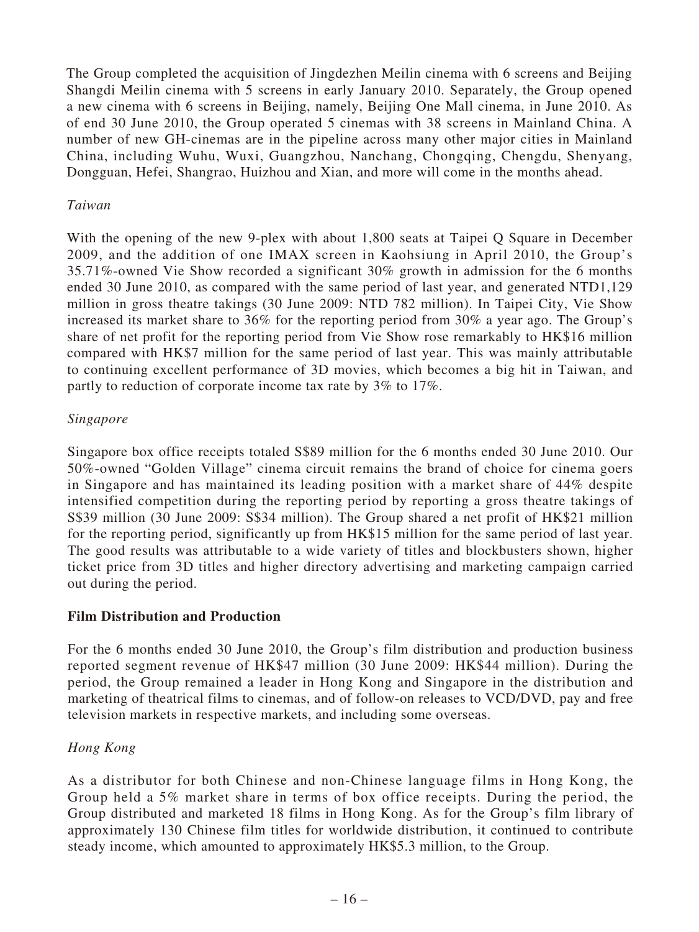The Group completed the acquisition of Jingdezhen Meilin cinema with 6 screens and Beijing Shangdi Meilin cinema with 5 screens in early January 2010. Separately, the Group opened a new cinema with 6 screens in Beijing, namely, Beijing One Mall cinema, in June 2010. As of end 30 June 2010, the Group operated 5 cinemas with 38 screens in Mainland China. A number of new GH-cinemas are in the pipeline across many other major cities in Mainland China, including Wuhu, Wuxi, Guangzhou, Nanchang, Chongqing, Chengdu, Shenyang, Dongguan, Hefei, Shangrao, Huizhou and Xian, and more will come in the months ahead.

# *Taiwan*

With the opening of the new 9-plex with about 1,800 seats at Taipei Q Square in December 2009, and the addition of one IMAX screen in Kaohsiung in April 2010, the Group's 35.71%-owned Vie Show recorded a significant 30% growth in admission for the 6 months ended 30 June 2010, as compared with the same period of last year, and generated NTD1,129 million in gross theatre takings (30 June 2009: NTD 782 million). In Taipei City, Vie Show increased its market share to 36% for the reporting period from 30% a year ago. The Group's share of net profit for the reporting period from Vie Show rose remarkably to HK\$16 million compared with HK\$7 million for the same period of last year. This was mainly attributable to continuing excellent performance of 3D movies, which becomes a big hit in Taiwan, and partly to reduction of corporate income tax rate by 3% to 17%.

# *Singapore*

Singapore box office receipts totaled S\$89 million for the 6 months ended 30 June 2010. Our 50%-owned "Golden Village" cinema circuit remains the brand of choice for cinema goers in Singapore and has maintained its leading position with a market share of 44% despite intensified competition during the reporting period by reporting a gross theatre takings of S\$39 million (30 June 2009: S\$34 million). The Group shared a net profit of HK\$21 million for the reporting period, significantly up from HK\$15 million for the same period of last year. The good results was attributable to a wide variety of titles and blockbusters shown, higher ticket price from 3D titles and higher directory advertising and marketing campaign carried out during the period.

# **Film Distribution and Production**

For the 6 months ended 30 June 2010, the Group's film distribution and production business reported segment revenue of HK\$47 million (30 June 2009: HK\$44 million). During the period, the Group remained a leader in Hong Kong and Singapore in the distribution and marketing of theatrical films to cinemas, and of follow-on releases to VCD/DVD, pay and free television markets in respective markets, and including some overseas.

# *Hong Kong*

As a distributor for both Chinese and non-Chinese language films in Hong Kong, the Group held a 5% market share in terms of box office receipts. During the period, the Group distributed and marketed 18 films in Hong Kong. As for the Group's film library of approximately 130 Chinese film titles for worldwide distribution, it continued to contribute steady income, which amounted to approximately HK\$5.3 million, to the Group.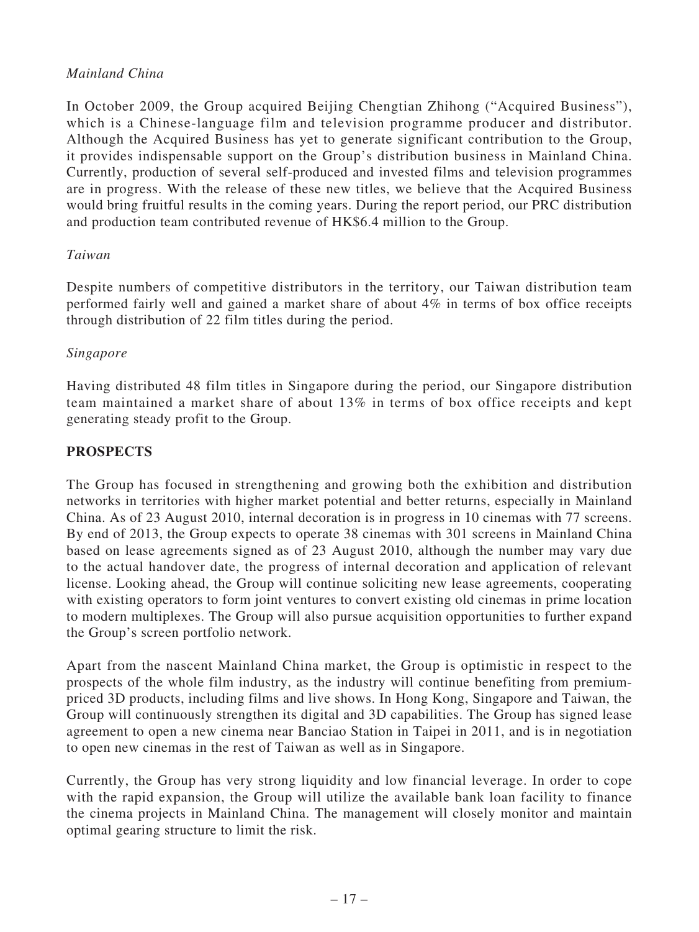# *Mainland China*

In October 2009, the Group acquired Beijing Chengtian Zhihong ("Acquired Business"), which is a Chinese-language film and television programme producer and distributor. Although the Acquired Business has yet to generate significant contribution to the Group, it provides indispensable support on the Group's distribution business in Mainland China. Currently, production of several self-produced and invested films and television programmes are in progress. With the release of these new titles, we believe that the Acquired Business would bring fruitful results in the coming years. During the report period, our PRC distribution and production team contributed revenue of HK\$6.4 million to the Group.

# *Taiwan*

Despite numbers of competitive distributors in the territory, our Taiwan distribution team performed fairly well and gained a market share of about 4% in terms of box office receipts through distribution of 22 film titles during the period.

# *Singapore*

Having distributed 48 film titles in Singapore during the period, our Singapore distribution team maintained a market share of about 13% in terms of box office receipts and kept generating steady profit to the Group.

# **PROSPECTS**

The Group has focused in strengthening and growing both the exhibition and distribution networks in territories with higher market potential and better returns, especially in Mainland China. As of 23 August 2010, internal decoration is in progress in 10 cinemas with 77 screens. By end of 2013, the Group expects to operate 38 cinemas with 301 screens in Mainland China based on lease agreements signed as of 23 August 2010, although the number may vary due to the actual handover date, the progress of internal decoration and application of relevant license. Looking ahead, the Group will continue soliciting new lease agreements, cooperating with existing operators to form joint ventures to convert existing old cinemas in prime location to modern multiplexes. The Group will also pursue acquisition opportunities to further expand the Group's screen portfolio network.

Apart from the nascent Mainland China market, the Group is optimistic in respect to the prospects of the whole film industry, as the industry will continue benefiting from premiumpriced 3D products, including films and live shows. In Hong Kong, Singapore and Taiwan, the Group will continuously strengthen its digital and 3D capabilities. The Group has signed lease agreement to open a new cinema near Banciao Station in Taipei in 2011, and is in negotiation to open new cinemas in the rest of Taiwan as well as in Singapore.

Currently, the Group has very strong liquidity and low financial leverage. In order to cope with the rapid expansion, the Group will utilize the available bank loan facility to finance the cinema projects in Mainland China. The management will closely monitor and maintain optimal gearing structure to limit the risk.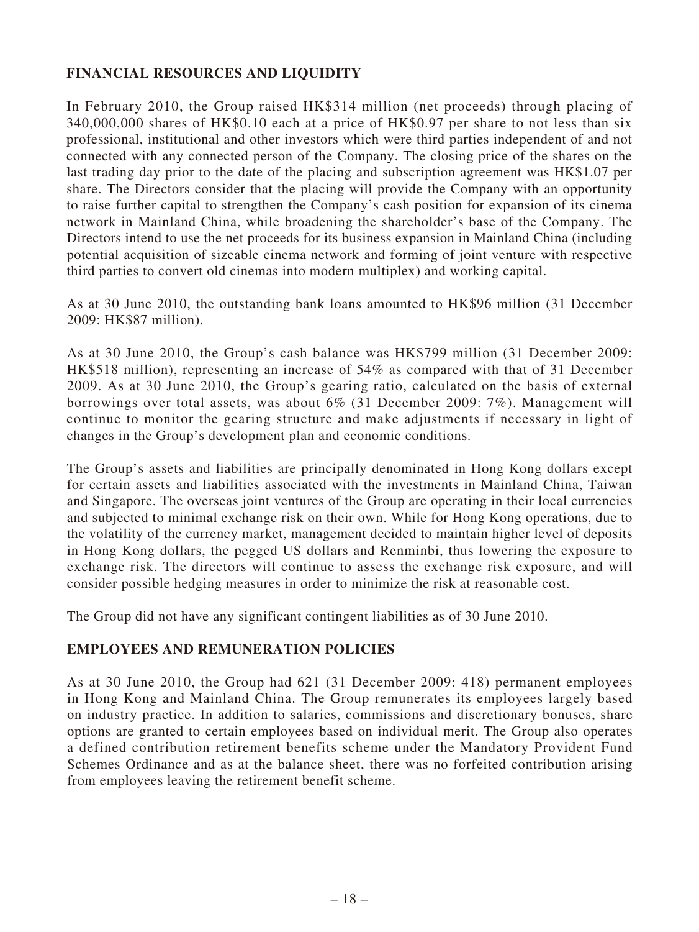# **FINANCIAL RESOURCES AND LIQUIDITY**

In February 2010, the Group raised HK\$314 million (net proceeds) through placing of 340,000,000 shares of HK\$0.10 each at a price of HK\$0.97 per share to not less than six professional, institutional and other investors which were third parties independent of and not connected with any connected person of the Company. The closing price of the shares on the last trading day prior to the date of the placing and subscription agreement was HK\$1.07 per share. The Directors consider that the placing will provide the Company with an opportunity to raise further capital to strengthen the Company's cash position for expansion of its cinema network in Mainland China, while broadening the shareholder's base of the Company. The Directors intend to use the net proceeds for its business expansion in Mainland China (including potential acquisition of sizeable cinema network and forming of joint venture with respective third parties to convert old cinemas into modern multiplex) and working capital.

As at 30 June 2010, the outstanding bank loans amounted to HK\$96 million (31 December 2009: HK\$87 million).

As at 30 June 2010, the Group's cash balance was HK\$799 million (31 December 2009: HK\$518 million), representing an increase of 54% as compared with that of 31 December 2009. As at 30 June 2010, the Group's gearing ratio, calculated on the basis of external borrowings over total assets, was about 6% (31 December 2009: 7%). Management will continue to monitor the gearing structure and make adjustments if necessary in light of changes in the Group's development plan and economic conditions.

The Group's assets and liabilities are principally denominated in Hong Kong dollars except for certain assets and liabilities associated with the investments in Mainland China, Taiwan and Singapore. The overseas joint ventures of the Group are operating in their local currencies and subjected to minimal exchange risk on their own. While for Hong Kong operations, due to the volatility of the currency market, management decided to maintain higher level of deposits in Hong Kong dollars, the pegged US dollars and Renminbi, thus lowering the exposure to exchange risk. The directors will continue to assess the exchange risk exposure, and will consider possible hedging measures in order to minimize the risk at reasonable cost.

The Group did not have any significant contingent liabilities as of 30 June 2010.

### **EMPLOYEES AND REMUNERATION POLICIES**

As at 30 June 2010, the Group had 621 (31 December 2009: 418) permanent employees in Hong Kong and Mainland China. The Group remunerates its employees largely based on industry practice. In addition to salaries, commissions and discretionary bonuses, share options are granted to certain employees based on individual merit. The Group also operates a defined contribution retirement benefits scheme under the Mandatory Provident Fund Schemes Ordinance and as at the balance sheet, there was no forfeited contribution arising from employees leaving the retirement benefit scheme.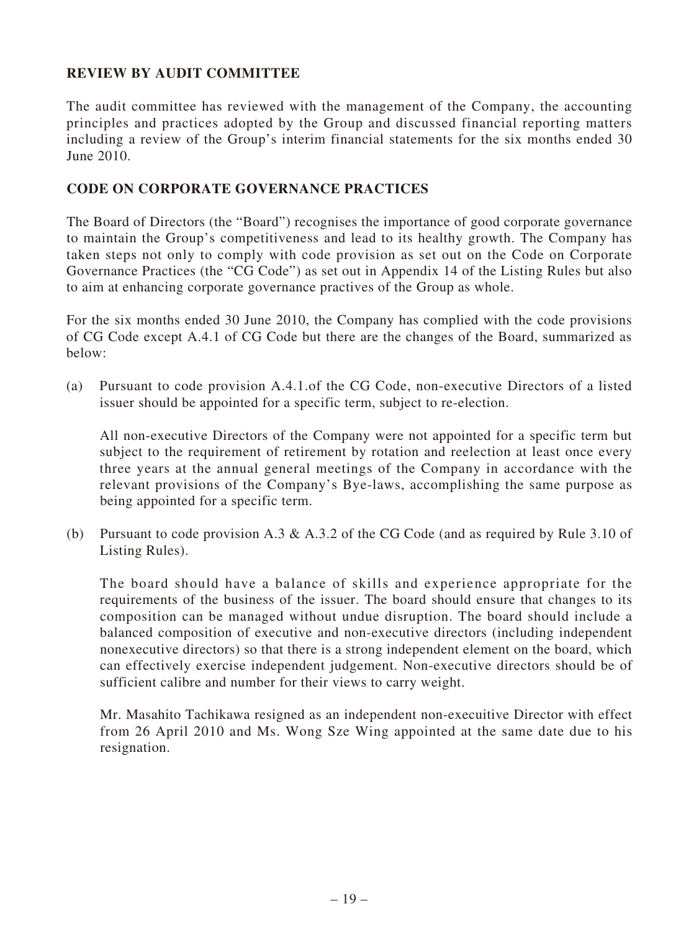# **REVIEW BY AUDIT COMMITTEE**

The audit committee has reviewed with the management of the Company, the accounting principles and practices adopted by the Group and discussed financial reporting matters including a review of the Group's interim financial statements for the six months ended 30 June 2010.

### **CODE ON CORPORATE GOVERNANCE PRACTICES**

The Board of Directors (the "Board") recognises the importance of good corporate governance to maintain the Group's competitiveness and lead to its healthy growth. The Company has taken steps not only to comply with code provision as set out on the Code on Corporate Governance Practices (the "CG Code") as set out in Appendix 14 of the Listing Rules but also to aim at enhancing corporate governance practives of the Group as whole.

For the six months ended 30 June 2010, the Company has complied with the code provisions of CG Code except A.4.1 of CG Code but there are the changes of the Board, summarized as below:

(a) Pursuant to code provision A.4.1.of the CG Code, non-executive Directors of a listed issuer should be appointed for a specific term, subject to re-election.

All non-executive Directors of the Company were not appointed for a specific term but subject to the requirement of retirement by rotation and reelection at least once every three years at the annual general meetings of the Company in accordance with the relevant provisions of the Company's Bye-laws, accomplishing the same purpose as being appointed for a specific term.

(b) Pursuant to code provision A.3 & A.3.2 of the CG Code (and as required by Rule 3.10 of Listing Rules).

The board should have a balance of skills and experience appropriate for the requirements of the business of the issuer. The board should ensure that changes to its composition can be managed without undue disruption. The board should include a balanced composition of executive and non-executive directors (including independent nonexecutive directors) so that there is a strong independent element on the board, which can effectively exercise independent judgement. Non-executive directors should be of sufficient calibre and number for their views to carry weight.

Mr. Masahito Tachikawa resigned as an independent non-execuitive Director with effect from 26 April 2010 and Ms. Wong Sze Wing appointed at the same date due to his resignation.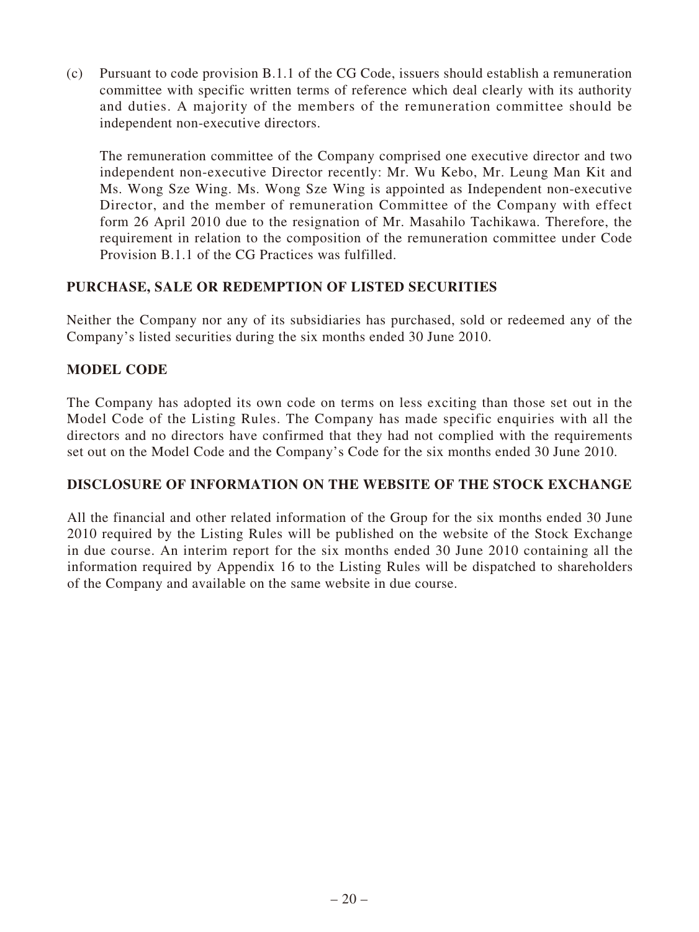(c) Pursuant to code provision B.1.1 of the CG Code, issuers should establish a remuneration committee with specific written terms of reference which deal clearly with its authority and duties. A majority of the members of the remuneration committee should be independent non-executive directors.

The remuneration committee of the Company comprised one executive director and two independent non-executive Director recently: Mr. Wu Kebo, Mr. Leung Man Kit and Ms. Wong Sze Wing. Ms. Wong Sze Wing is appointed as Independent non-executive Director, and the member of remuneration Committee of the Company with effect form 26 April 2010 due to the resignation of Mr. Masahilo Tachikawa. Therefore, the requirement in relation to the composition of the remuneration committee under Code Provision B.1.1 of the CG Practices was fulfilled.

# **PURCHASE, SALE OR REDEMPTION OF LISTED SECURITIES**

Neither the Company nor any of its subsidiaries has purchased, sold or redeemed any of the Company's listed securities during the six months ended 30 June 2010.

# **Model Code**

The Company has adopted its own code on terms on less exciting than those set out in the Model Code of the Listing Rules. The Company has made specific enquiries with all the directors and no directors have confirmed that they had not complied with the requirements set out on the Model Code and the Company's Code for the six months ended 30 June 2010.

# **DISCLOSURE OF INFORMATION ON THE WEBSITE OF THE STOCK EXCHANGE**

All the financial and other related information of the Group for the six months ended 30 June 2010 required by the Listing Rules will be published on the website of the Stock Exchange in due course. An interim report for the six months ended 30 June 2010 containing all the information required by Appendix 16 to the Listing Rules will be dispatched to shareholders of the Company and available on the same website in due course.